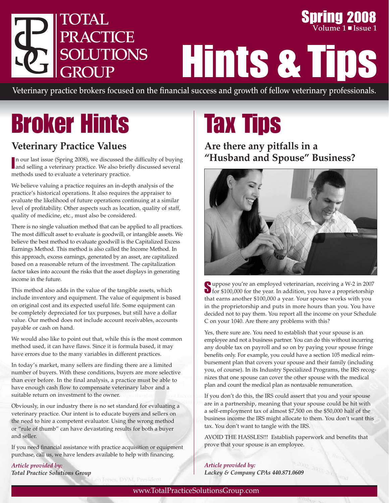

**Spring 2008 Volume 1** ■ **Issue** 1

Hints & Tips

Veterinary practice brokers focused on the financial success and growth of fellow veterinary professionals.

# Broker Hints

## **Veterinary Practice Values**

In our last issue (Spring 2008), we discussed the difficulty of buying<br>and selling a veterinary practice. We also briefly discussed several and selling a veterinary practice. We also briefly discussed several methods used to evaluate a veterinary practice.

We believe valuing a practice requires an in-depth analysis of the practice's historical operations. It also requires the appraiser to evaluate the likelihood of future operations continuing at a similar level of profitability. Other aspects such as location, quality of staff, quality of medicine, etc., must also be considered.

There is no single valuation method that can be applied to all practices. The most difficult asset to evaluate is goodwill, or intangible assets. We believe the best method to evaluate goodwill is the Capitalized Excess Earnings Method. This method is also called the Income Method. In this approach, excess earnings, generated by an asset, are capitalized based on a reasonable return of the investment. The capitalization factor takes into account the risks that the asset displays in generating income in the future.

This method also adds in the value of the tangible assets, which include inventory and equipment. The value of equipment is based on original cost and its expected useful life. Some equipment can be completely depreciated for tax purposes, but still have a dollar value. Our method does not include account receivables, accounts payable or cash on hand.

We would also like to point out that, while this is the most common method used, it can have flaws. Since it is formula based, it may have errors due to the many variables in different practices.

In today's market, many sellers are finding there are a limited number of buyers. With these conditions, buyers are more selective than ever before. In the final analysis, a practice must be able to have enough cash flow to compensate veterinary labor and a suitable return on investment to the owner.

Obviously, in our industry there is no set standard for evaluating a veterinary practice. Our intent is to educate buyers and sellers on the need to hire a competent evaluator. Using the wrong method or "rule of thumb" can have devastating results for both a buyer and seller.

If you need financial assistance with practice acquisition or equipment purchase, call us, we have lenders available to help with financing.

*Article provided by: Total Practice Solutions Group*

# Tax Tips

## **Are there any pitfalls in a "Husband and Spouse" Business?**



Suppose you're an employed veterinarian, receiving a W-2 in 2007<br>for \$100,000 for the year. In addition, you have a proprietorship that earns another \$100,000 a year. Your spouse works with you in the proprietorship and puts in more hours than you. You have decided not to pay them. You report all the income on your Schedule C on your 1040. Are there any problems with this?

Yes, there sure are. You need to establish that your spouse is an employee and not a business partner. You can do this without incurring any double tax on payroll and so on by paying your spouse fringe benefits only. For example, you could have a section 105 medical reimbursement plan that covers your spouse and their family (including you, of course). In its Industry Specialized Programs, the IRS recognizes that one spouse can cover the other spouse with the medical plan and count the medical plan as nontaxable remuneration.

If you don't do this, the IRS could assert that you and your spouse are in a partnership, meaning that your spouse could be hit with a self-employment tax of almost \$7,500 on the \$50,000 half of the business income the IRS might allocate to them. You don't want this tax. You don't want to tangle with the IRS.

AVOID THE HASSLES!!! Establish paperwork and benefits that prove that your spouse is an employee.

*Article provided by: Lackey & Company CPAs 440.871.0609*